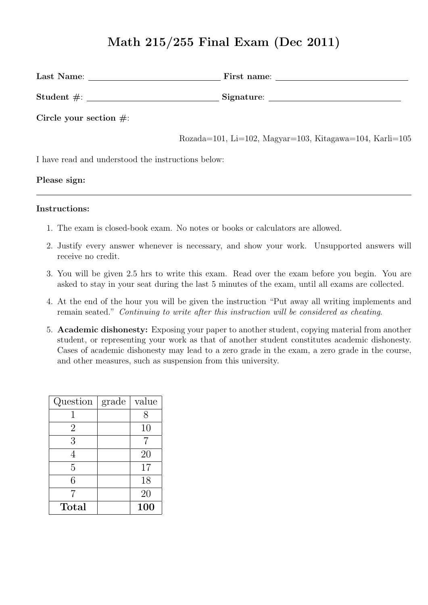# **Math 215/255 Final Exam (Dec 2011)**

| Last Name:                 | First name: |
|----------------------------|-------------|
| Student $\#$ :             | Signature:  |
| Circle your section $\#$ : |             |

Rozada=101, Li=102, Magyar=103, Kitagawa=104, Karli=105

I have read and understood the instructions below:

**Please sign:**

#### **Instructions:**

- 1. The exam is closed-book exam. No notes or books or calculators are allowed.
- 2. Justify every answer whenever is necessary, and show your work. Unsupported answers will receive no credit.
- 3. You will be given 2.5 hrs to write this exam. Read over the exam before you begin. You are asked to stay in your seat during the last 5 minutes of the exam, until all exams are collected.
- 4. At the end of the hour you will be given the instruction "Put away all writing implements and remain seated." *Continuing to write after this instruction will be considered as cheating*.
- 5. **Academic dishonesty:** Exposing your paper to another student, copying material from another student, or representing your work as that of another student constitutes academic dishonesty. Cases of academic dishonesty may lead to a zero grade in the exam, a zero grade in the course, and other measures, such as suspension from this university.

| Question       | grade | value          |
|----------------|-------|----------------|
|                |       | 8              |
| $\overline{2}$ |       | 10             |
| 3              |       | $\overline{7}$ |
| 4              |       | 20             |
| 5              |       | 17             |
| 6              |       | 18             |
| 7              |       | 20             |
| Total          |       | 100            |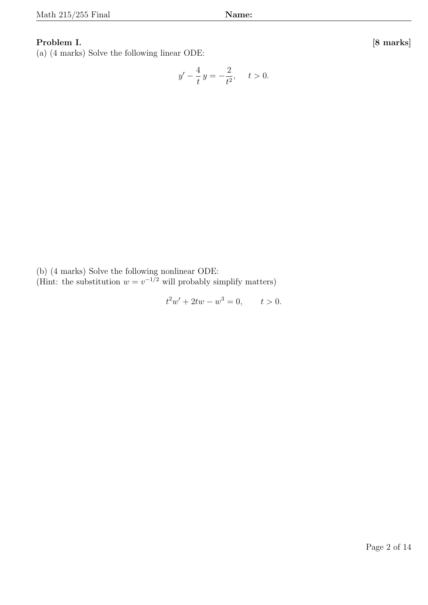### **Problem I. [8 marks]**

(a) (4 marks) Solve the following linear ODE:

$$
y' - \frac{4}{t}y = -\frac{2}{t^2}, \quad t > 0.
$$

(b) (4 marks) Solve the following nonlinear ODE:

(Hint: the substitution  $w = v^{-1/2}$  will probably simplify matters)

 $t^2w' + 2tw - w$  $t > 0$ .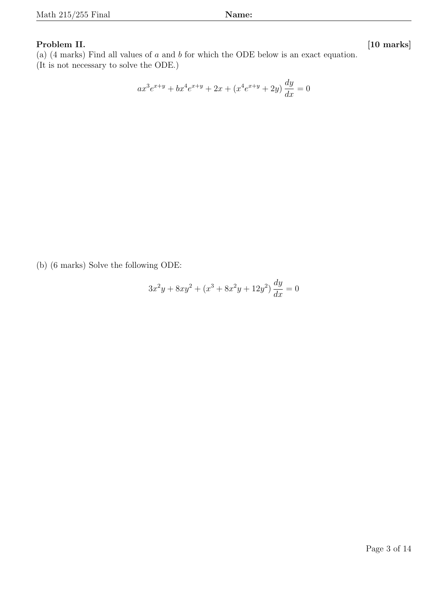## **Problem II. [10 marks]**

(a) (4 marks) Find all values of *a* and *b* for which the ODE below is an exact equation. (It is not necessary to solve the ODE.)

$$
ax^{3}e^{x+y} + bx^{4}e^{x+y} + 2x + (x^{4}e^{x+y} + 2y)\frac{dy}{dx} = 0
$$

(b) (6 marks) Solve the following ODE:

$$
3x^2y + 8xy^2 + (x^3 + 8x^2y + 12y^2)\frac{dy}{dx} = 0
$$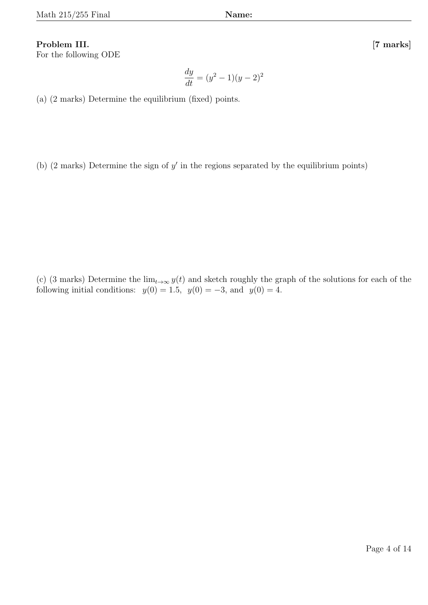# **Problem III. [7 marks]**

For the following ODE

(a) (2 marks) Determine the equilibrium (fixed) points.

(b) (2 marks) Determine the sign of *y ′* in the regions separated by the equilibrium points)

(c) (3 marks) Determine the  $\lim_{t\to\infty} y(t)$  and sketch roughly the graph of the solutions for each of the following initial conditions:  $y(0) = 1.5$ ,  $y(0) = -3$ , and  $y(0) = 4$ .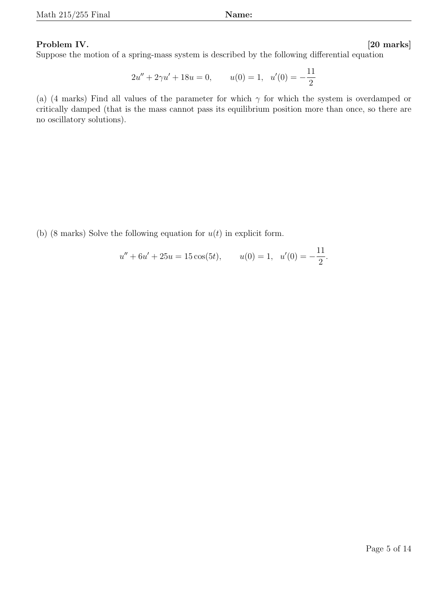# **Problem IV. [20 marks]**

Suppose the motion of a spring-mass system is described by the following differential equation

$$
2u'' + 2\gamma u' + 18u = 0, \qquad u(0) = 1, \ \ u'(0) = -\frac{11}{2}
$$

(a) (4 marks) Find all values of the parameter for which  $\gamma$  for which the system is overdamped or critically damped (that is the mass cannot pass its equilibrium position more than once, so there are no oscillatory solutions).

(b) (8 marks) Solve the following equation for *u*(*t*) in explicit form.

$$
u'' + 6u' + 25u = 15\cos(5t)
$$
,  $u(0) = 1$ ,  $u'(0) = -\frac{11}{2}$ .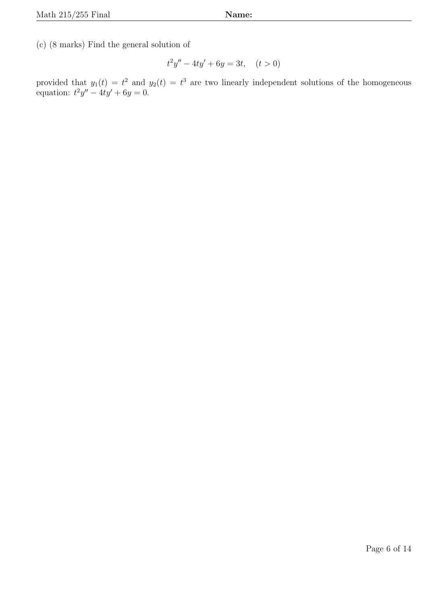(c) (8 marks) Find the general solution of

$$
t^2y'' - 4ty' + 6y = 3t, \quad (t > 0)
$$

provided that  $y_1(t) = t^2$  and  $y_2(t) = t^3$  are two linearly independent solutions of the homogeneous equation:  $t^2y'' - 4ty' + 6y = 0.$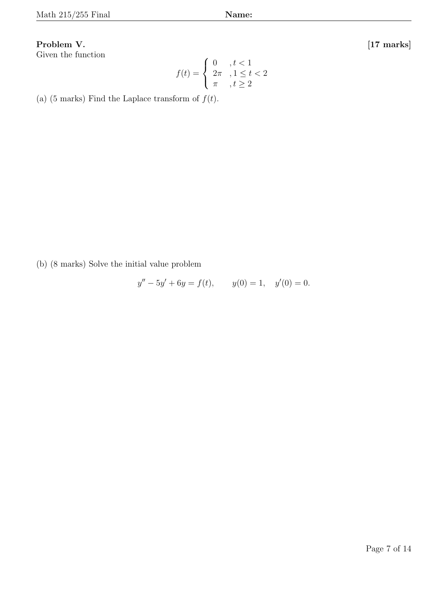# **Problem V. [17 marks]**

Given the function

$$
f(t) = \begin{cases} 0, & t < 1 \\ 2\pi, & 1 \le t < 2 \\ \pi, & t \ge 2 \end{cases}
$$

(a) (5 marks) Find the Laplace transform of  $f(t)$ .

(b) (8 marks) Solve the initial value problem

$$
y'' - 5y' + 6y = f(t), \t y(0) = 1, \t y'(0) = 0.
$$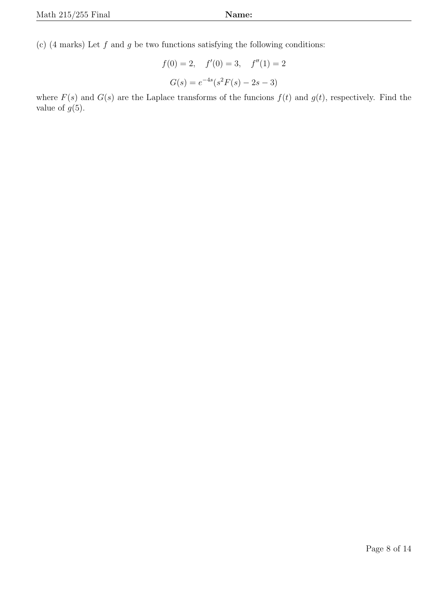(c) (4 marks) Let *f* and *g* be two functions satisfying the following conditions:

$$
f(0) = 2
$$
,  $f'(0) = 3$ ,  $f''(1) = 2$   
 $G(s) = e^{-4s}(s^2F(s) - 2s - 3)$ 

where  $F(s)$  and  $G(s)$  are the Laplace transforms of the funcions  $f(t)$  and  $g(t)$ , respectively. Find the value of  $g(5)$ .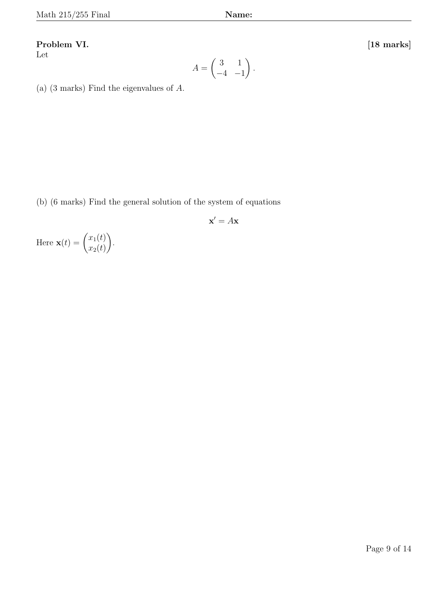#### Problem VI.

Let

$$
[18\;\mathrm{marks}]
$$

$$
A = \begin{pmatrix} 3 & 1 \\ -4 & -1 \end{pmatrix}.
$$

(a) (3 marks) Find the eigenvalues of *A*.

(b) (6 marks) Find the general solution of the system of equations

$$
\mathbf{x}' = A\mathbf{x}
$$

Here  $\mathbf{x}(t) = \begin{pmatrix} x_1(t) \\ x_2(t) \end{pmatrix}$  $x_2(t)$  $\setminus$ .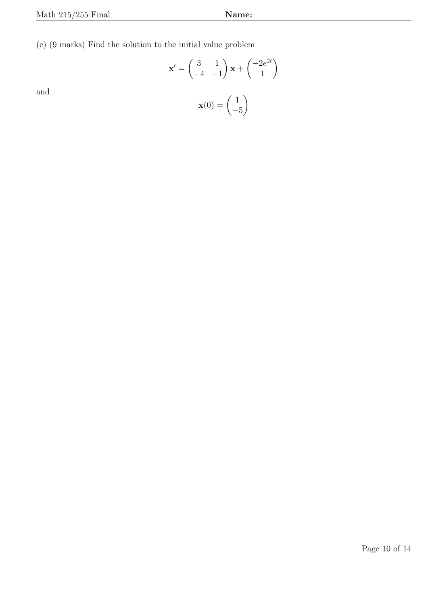(c) (9 marks) Find the solution to the initial value problem

$$
\mathbf{x}' = \begin{pmatrix} 3 & 1 \\ -4 & -1 \end{pmatrix} \mathbf{x} + \begin{pmatrix} -2e^{2t} \\ 1 \end{pmatrix}
$$

and

$$
\mathbf{x}(0) = \begin{pmatrix} 1 \\ -5 \end{pmatrix}
$$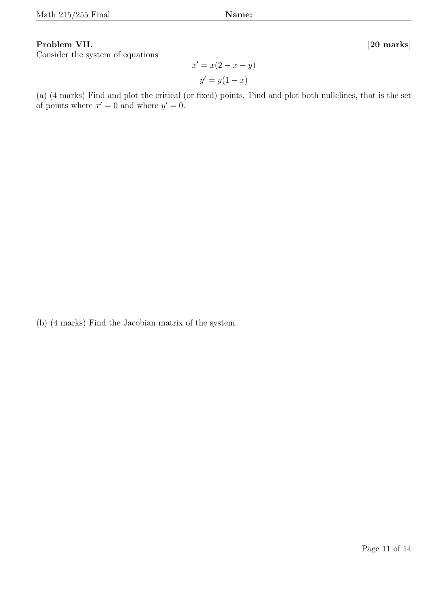### **Problem VII. [20 marks]**

Consider the system of equations

 $x' = x(2 - x - y)$  $y' = y(1 - x)$ 

(a) (4 marks) Find and plot the critical (or fixed) points. Find and plot both nullclines, that is the set of points where  $x' = 0$  and where  $y' = 0$ .

(b) (4 marks) Find the Jacobian matrix of the system.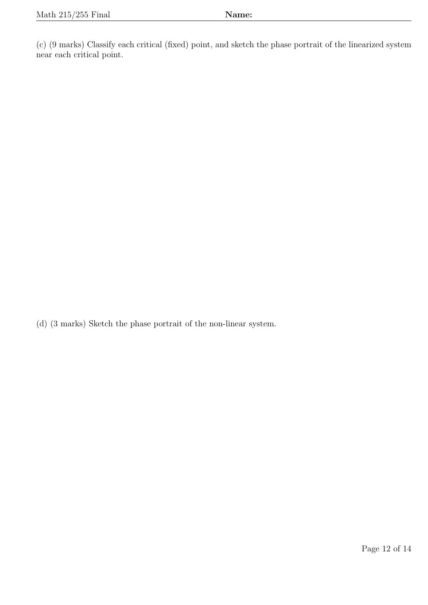(c) (9 marks) Classify each critical (fixed) point, and sketch the phase portrait of the linearized system near each critical point.

(d) (3 marks) Sketch the phase portrait of the non-linear system.